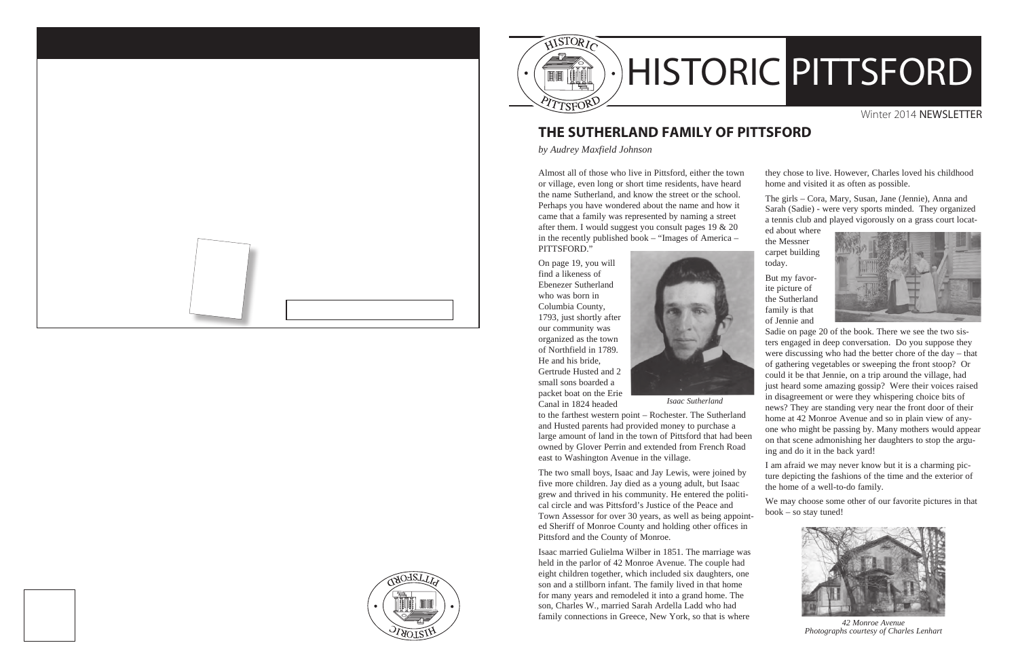

## **THE SUTHERLAND FAMILY OF PITTSFORD**

*by Audrey Maxfield Johnson*

Almost all of those who live in Pittsford, either the town or village, even long or short time residents, have heard the name Sutherland, and know the street or the school. Perhaps you have wondered about the name and how it came that a family was represented by naming a street after them. I would suggest you consult pages 19 & 20 in the recently published book – "Images of America – PITTSFORD."

On page 19, you will find a likeness of Ebenezer Sutherland who was born in Columbia County, 1793, just shortly after our community was organized as the town of Northfield in 1789. He and his bride, Gertrude Husted and 2 small sons boarded a packet boat on the Erie Canal in 1824 headed



*Isaac Sutherland*

to the farthest western point – Rochester. The Sutherland and Husted parents had provided money to purchase a large amount of land in the town of Pittsford that had been owned by Glover Perrin and extended from French Road east to Washington Avenue in the village.

The two small boys, Isaac and Jay Lewis, were joined by five more children. Jay died as a young adult, but Isaac grew and thrived in his community. He entered the political circle and was Pittsford's Justice of the Peace and Town Assessor for over 30 years, as well as being appointed Sheriff of Monroe County and holding other offices in Pittsford and the County of Monroe.

Isaac married Gulielma Wilber in 1851. The marriage was held in the parlor of 42 Monroe Avenue. The couple had eight children together, which included six daughters, one son and a stillborn infant. The family lived in that home for many years and remodeled it into a grand home. The son, Charles W., married Sarah Ardella Ladd who had family connections in Greece, New York, so that is where

they chose to live. However, Charles loved his childhood home and visited it as often as possible.

The girls – Cora, Mary, Susan, Jane (Jennie), Anna and Sarah (Sadie) - were very sports minded. They organized a tennis club and played vigorously on a grass court locat-

ed about where the Messner carpet building today.

But my favorite picture of the Sutherland family is that of Jennie and



Sadie on page 20 of the book. There we see the two sisters engaged in deep conversation. Do you suppose they were discussing who had the better chore of the day – that of gathering vegetables or sweeping the front stoop? Or could it be that Jennie, on a trip around the village, had just heard some amazing gossip? Were their voices raised in disagreement or were they whispering choice bits of news? They are standing very near the front door of their home at 42 Monroe Avenue and so in plain view of anyone who might be passing by. Many mothers would appear on that scene admonishing her daughters to stop the arguing and do it in the back yard!

I am afraid we may never know but it is a charming picture depicting the fashions of the time and the exterior of the home of a well-to-do family.

We may choose some other of our favorite pictures in that book – so stay tuned!



*42 Monroe Avenue Photographs courtesy of Charles Lenhart*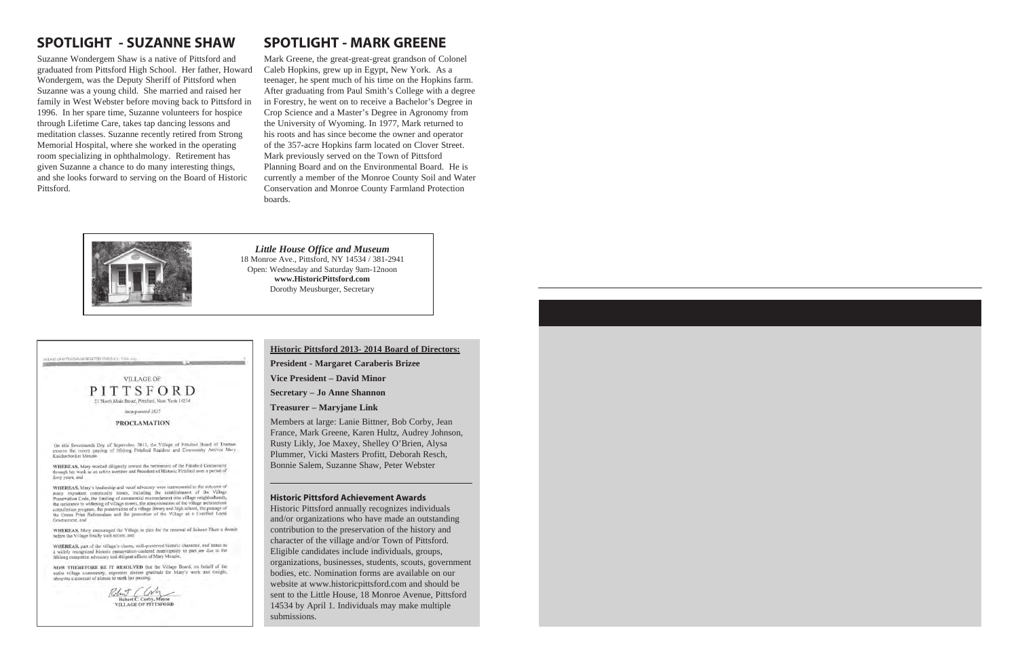# **SPOTLIGHT - SUZANNE SHAW**

Suzanne Wondergem Shaw is a native of Pittsford and graduated from Pittsford High School. Her father, Howard Wondergem, was the Deputy Sheriff of Pittsford when Suzanne was a young child. She married and raised her family in West Webster before moving back to Pittsford in 1996. In her spare time, Suzanne volunteers for hospice through Lifetime Care, takes tap dancing lessons and meditation classes. Suzanne recently retired from Strong Memorial Hospital, where she worked in the operating room specializing in ophthalmology. Retirement has given Suzanne a chance to do many interesting things, and she looks forward to serving on the Board of Historic Pittsford.

# **SPOTLIGHT - MARK GREENE**

Mark Greene, the great-great-great grandson of Colonel Caleb Hopkins, grew up in Egypt, New York. As a teenager, he spent much of his time on the Hopkins farm. After graduating from Paul Smith's College with a degree in Forestry, he went on to receive a Bachelor's Degree in Crop Science and a Master's Degree in Agronomy from the University of Wyoming. In 1977, Mark returned to his roots and has since become the owner and operator of the 357-acre Hopkins farm located on Clover Street. Mark previously served on the Town of Pittsford Planning Board and on the Environmental Board. He is currently a member of the Monroe County Soil and Water Conservation and Monroe County Farmland Protection boards.



*Little House Office and Museum* 18 Monroe Ave., Pittsford, NY 14534 / 381-2941 Open: Wednesday and Saturday 9am-12noon **www.HistoricPittsford.com** Dorothy Meusburger, Secretary

vill est de presenio la Vellemen (ISSUE a L-1414)

**VILLAGE OF** PITTSFORD

21 North Main Street, Pittsford, New York 14534

Incorporated 1827

**PROCLAMATION** 

On this Seventeenth Day of September. 2013, the Village of Pittsford Board of Truste On this Seventeenth Day of September, 2013, the yntage of citiziona 2000 of Dialetes<br>mounts the recent passing of lifelong Pittsford Resident and Community Activist Mary<br>Knickerbocker Menzie.

WHEREAS, Mary worked diligently toward the betterment of the Pittsford Community<br>through her work as an active member and President of Historic Pittsford over a period of forty years, and

WHEREAS, Mary's leadership and vocal advocacy were instrumental in the outo many important community issues, including the establishment of the Village Preservation Code, the limiting of commercial enerosehment into village neighborhoods, These resistance to widening of village streets, the administration of the village architectural consultation program, the preservation of a village library and high school, the passage of the Green-Print Referendum and th Government, and

WHEREAS, Mary encouraged the Village to plan for the renewal of Schoen Place a decade before the Village finally took action, and

WHEREAS, part of the village's charm, well-preserved historic character, and status as a widely recognized historic preservation-centered municipality in part are due to the lifelong outspoken advocacy and diligent efforts of Mary Menzie,

NOW THEREFORE BE IT RESOLVED that the Village Board, on behalf of the entire village community, expresses sincere gratitude for Mary's work and tonight, observes a moment of silence to mark her passing.



### **Historic Pittsford 2013- 2014 Board of Directors:**

**President - Margaret Caraberis Brizee**

**Vice President – David Minor**

**Secretary – Jo Anne Shannon**

**Treasurer – Maryjane Link**

Members at large: Lanie Bittner, Bob Corby, Jean France, Mark Greene, Karen Hultz, Audrey Johnson, Rusty Likly, Joe Maxey, Shelley O'Brien, Alysa Plummer, Vicki Masters Profitt, Deborah Resch, Bonnie Salem, Suzanne Shaw, Peter Webster

### **Historic Pittsford Achievement Awards**

Historic Pittsford annually recognizes individuals and/or organizations who have made an outstanding contribution to the preservation of the history and character of the village and/or Town of Pittsford. Eligible candidates include individuals, groups, organizations, businesses, students, scouts, government bodies, etc. Nomination forms are available on our website at www.historicpittsford.com and should be sent to the Little House, 18 Monroe Avenue, Pittsford 14534 by April 1. Individuals may make multiple submissions.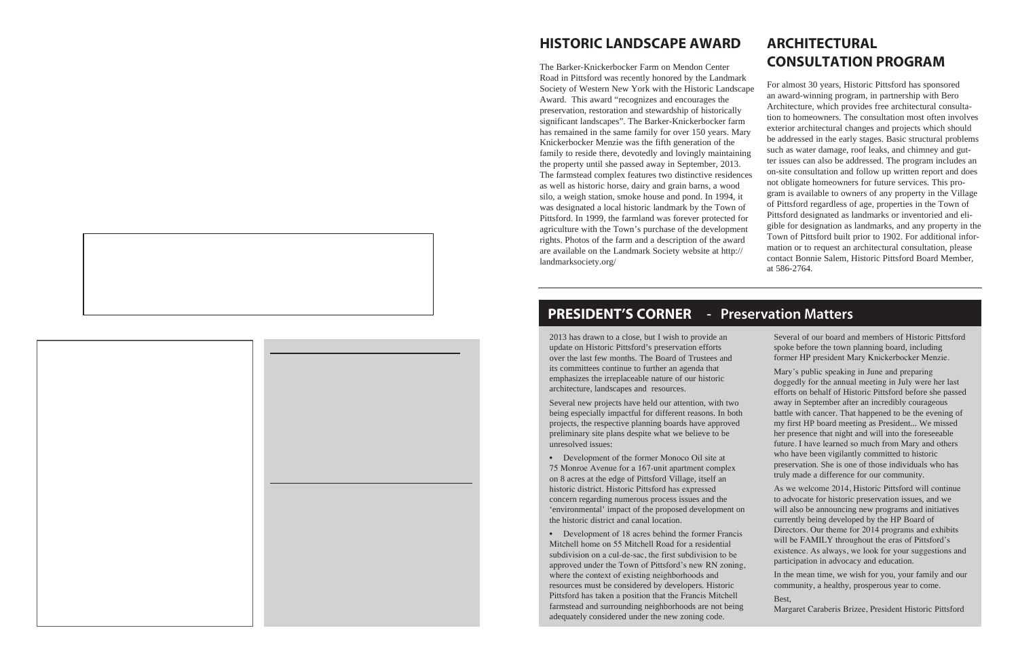# **HISTORIC LANDSCAPE AWARD**

The Barker-Knickerbocker Farm on Mendon Center Road in Pittsford was recently honored by the Landmark Society of Western New York with the Historic Landscape Award. This award "recognizes and encourages the preservation, restoration and stewardship of historically significant landscapes". The Barker-Knickerbocker farm has remained in the same family for over 150 years. Mary Knickerbocker Menzie was the fifth generation of the family to reside there, devotedly and lovingly maintaining the property until she passed away in September, 2013. The farmstead complex features two distinctive residences as well as historic horse, dairy and grain barns, a wood silo, a weigh station, smoke house and pond. In 1994, it was designated a local historic landmark by the Town of Pittsford. In 1999, the farmland was forever protected for agriculture with the Town's purchase of the development rights. Photos of the farm and a description of the award are available on the Landmark Society website at http:// landmarksociety.org/

# **ARCHITECTURAL CONSULTATION PROGRAM**

For almost 30 years, Historic Pittsford has sponsored an award-winning program, in partnership with Bero Architecture, which provides free architectural consultation to homeowners. The consultation most often involves exterior architectural changes and projects which should be addressed in the early stages. Basic structural problems such as water damage, roof leaks, and chimney and gutter issues can also be addressed. The program includes an on-site consultation and follow up written report and does not obligate homeowners for future services. This program is available to owners of any property in the Village of Pittsford regardless of age, properties in the Town of Pittsford designated as landmarks or inventoried and eligible for designation as landmarks, and any property in the Town of Pittsford built prior to 1902. For additional information or to request an architectural consultation, please contact Bonnie Salem, Historic Pittsford Board Member, at 586-2764.

#### **PRESIDENT'S CORNER** - Preservation Matters

2013 has drawn to a close, but I wish to provide an update on Historic Pittsford's preservation efforts over the last few months. The Board of Trustees and its committees continue to further an agenda that emphasizes the irreplaceable nature of our historic architecture, landscapes and resources.

Several new projects have held our attention, with two being especially impactful for different reasons. In both projects, the respective planning boards have approved preliminary site plans despite what we believe to be unresolved issues:

Development of the former Monoco Oil site at 75 Monroe Avenue for a 167-unit apartment complex on 8 acres at the edge of Pittsford Village, itself an historic district. Historic Pittsford has expressed concern regarding numerous process issues and the 'environmental' impact of the proposed development on the historic district and canal location.

Development of 18 acres behind the former Francis Mitchell home on 55 Mitchell Road for a residential subdivision on a cul-de-sac, the first subdivision to be approved under the Town of Pittsford's new RN zoning, where the context of existing neighborhoods and resources must be considered by developers. Historic Pittsford has taken a position that the Francis Mitchell farmstead and surrounding neighborhoods are not being adequately considered under the new zoning code.

Several of our board and members of Historic Pittsford spoke before the town planning board, including former HP president Mary Knickerbocker Menzie.

Mary's public speaking in June and preparing doggedly for the annual meeting in July were her last efforts on behalf of Historic Pittsford before she passed away in September after an incredibly courageous battle with cancer. That happened to be the evening of my first HP board meeting as President... We missed her presence that night and will into the foreseeable future. I have learned so much from Mary and others who have been vigilantly committed to historic preservation. She is one of those individuals who has truly made a difference for our community.

As we welcome 2014, Historic Pittsford will continue to advocate for historic preservation issues, and we will also be announcing new programs and initiatives currently being developed by the HP Board of Directors. Our theme for 2014 programs and exhibits will be FAMILY throughout the eras of Pittsford's existence. As always, we look for your suggestions and participation in advocacy and education.

In the mean time, we wish for you, your family and our community, a healthy, prosperous year to come.

Best,

Margaret Caraberis Brizee, President Historic Pittsford